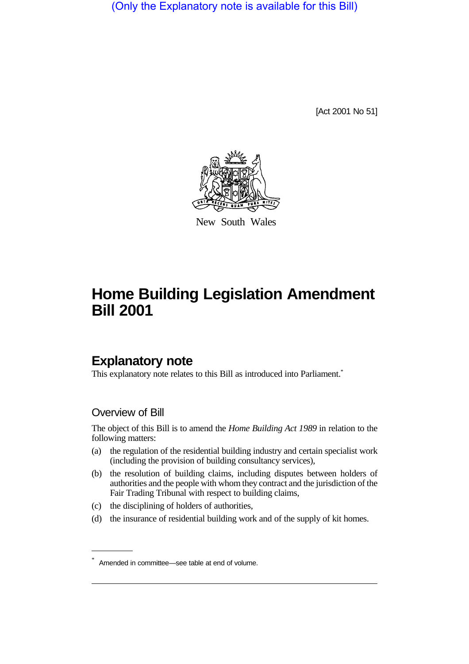(Only the Explanatory note is available for this Bill)

[Act 2001 No 51]



New South Wales

# **Home Building Legislation Amendment Bill 2001**

# **Explanatory note**

This explanatory note relates to this Bill as introduced into Parliament.<sup>\*</sup>

### Overview of Bill

The object of this Bill is to amend the *Home Building Act 1989* in relation to the following matters:

- (a) the regulation of the residential building industry and certain specialist work (including the provision of building consultancy services),
- (b) the resolution of building claims, including disputes between holders of authorities and the people with whom they contract and the jurisdiction of the Fair Trading Tribunal with respect to building claims,
- (c) the disciplining of holders of authorities,
- (d) the insurance of residential building work and of the supply of kit homes.

<sup>\*</sup> Amended in committee—see table at end of volume.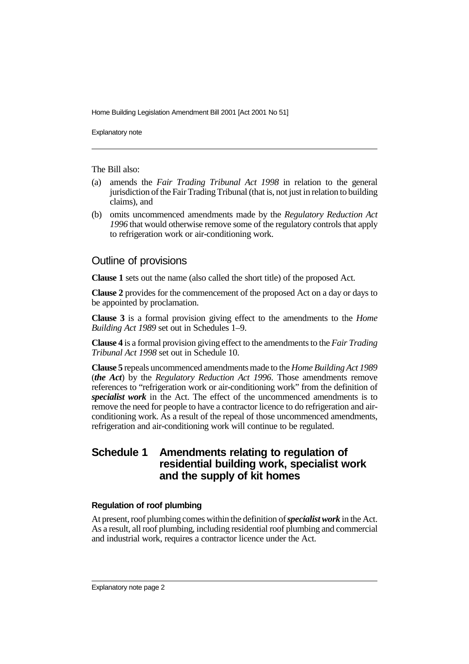Explanatory note

The Bill also:

- (a) amends the *Fair Trading Tribunal Act 1998* in relation to the general jurisdiction of the Fair Trading Tribunal (that is, not just in relation to building claims), and
- (b) omits uncommenced amendments made by the *Regulatory Reduction Act 1996* that would otherwise remove some of the regulatory controls that apply to refrigeration work or air-conditioning work.

#### Outline of provisions

**Clause 1** sets out the name (also called the short title) of the proposed Act.

**Clause 2** provides for the commencement of the proposed Act on a day or days to be appointed by proclamation.

**Clause 3** is a formal provision giving effect to the amendments to the *Home Building Act 1989* set out in Schedules 1–9.

**Clause 4** is a formal provision giving effect to the amendments to the *Fair Trading Tribunal Act 1998* set out in Schedule 10.

**Clause 5** repeals uncommenced amendments made to the *Home Building Act 1989* (*the Act*) by the *Regulatory Reduction Act 1996*. Those amendments remove references to "refrigeration work or air-conditioning work" from the definition of *specialist work* in the Act. The effect of the uncommenced amendments is to remove the need for people to have a contractor licence to do refrigeration and airconditioning work. As a result of the repeal of those uncommenced amendments, refrigeration and air-conditioning work will continue to be regulated.

### **Schedule 1 Amendments relating to regulation of residential building work, specialist work and the supply of kit homes**

#### **Regulation of roof plumbing**

At present, roof plumbing comes within the definition of *specialist work* in the Act. As a result, all roof plumbing, including residential roof plumbing and commercial and industrial work, requires a contractor licence under the Act.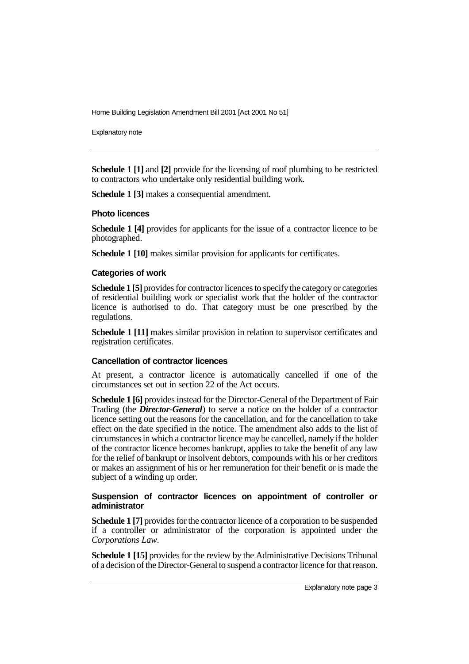Explanatory note

**Schedule 1 [1]** and [2] provide for the licensing of roof plumbing to be restricted to contractors who undertake only residential building work.

**Schedule 1 [3]** makes a consequential amendment.

#### **Photo licences**

**Schedule 1 [4]** provides for applicants for the issue of a contractor licence to be photographed.

**Schedule 1 [10]** makes similar provision for applicants for certificates.

#### **Categories of work**

**Schedule 1 [5]** provides for contractor licences to specify the category or categories of residential building work or specialist work that the holder of the contractor licence is authorised to do. That category must be one prescribed by the regulations.

**Schedule 1 [11]** makes similar provision in relation to supervisor certificates and registration certificates.

#### **Cancellation of contractor licences**

At present, a contractor licence is automatically cancelled if one of the circumstances set out in section 22 of the Act occurs.

**Schedule 1 [6]** provides instead for the Director-General of the Department of Fair Trading (the *Director-General*) to serve a notice on the holder of a contractor licence setting out the reasons for the cancellation, and for the cancellation to take effect on the date specified in the notice. The amendment also adds to the list of circumstances in which a contractor licence may be cancelled, namely if the holder of the contractor licence becomes bankrupt, applies to take the benefit of any law for the relief of bankrupt or insolvent debtors, compounds with his or her creditors or makes an assignment of his or her remuneration for their benefit or is made the subject of a winding up order.

#### **Suspension of contractor licences on appointment of controller or administrator**

**Schedule 1 [7]** provides for the contractor licence of a corporation to be suspended if a controller or administrator of the corporation is appointed under the *Corporations Law*.

**Schedule 1 [15]** provides for the review by the Administrative Decisions Tribunal of a decision of the Director-General to suspend a contractor licence for that reason.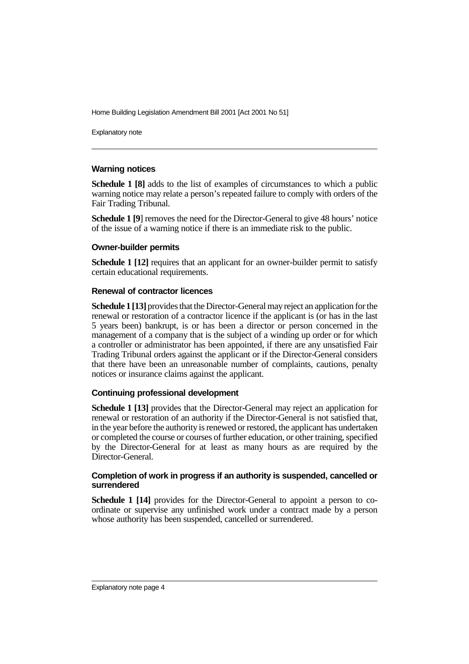Explanatory note

#### **Warning notices**

**Schedule 1 [8]** adds to the list of examples of circumstances to which a public warning notice may relate a person's repeated failure to comply with orders of the Fair Trading Tribunal.

**Schedule 1 [9**] removes the need for the Director-General to give 48 hours' notice of the issue of a warning notice if there is an immediate risk to the public.

#### **Owner-builder permits**

**Schedule 1 [12]** requires that an applicant for an owner-builder permit to satisfy certain educational requirements.

#### **Renewal of contractor licences**

**Schedule 1 [13]** provides that the Director-General may reject an application for the renewal or restoration of a contractor licence if the applicant is (or has in the last 5 years been) bankrupt, is or has been a director or person concerned in the management of a company that is the subject of a winding up order or for which a controller or administrator has been appointed, if there are any unsatisfied Fair Trading Tribunal orders against the applicant or if the Director-General considers that there have been an unreasonable number of complaints, cautions, penalty notices or insurance claims against the applicant.

#### **Continuing professional development**

**Schedule 1 [13]** provides that the Director-General may reject an application for renewal or restoration of an authority if the Director-General is not satisfied that, in the year before the authority is renewed or restored, the applicant has undertaken or completed the course or courses of further education, or other training, specified by the Director-General for at least as many hours as are required by the Director-General.

#### **Completion of work in progress if an authority is suspended, cancelled or surrendered**

**Schedule 1 [14]** provides for the Director-General to appoint a person to coordinate or supervise any unfinished work under a contract made by a person whose authority has been suspended, cancelled or surrendered.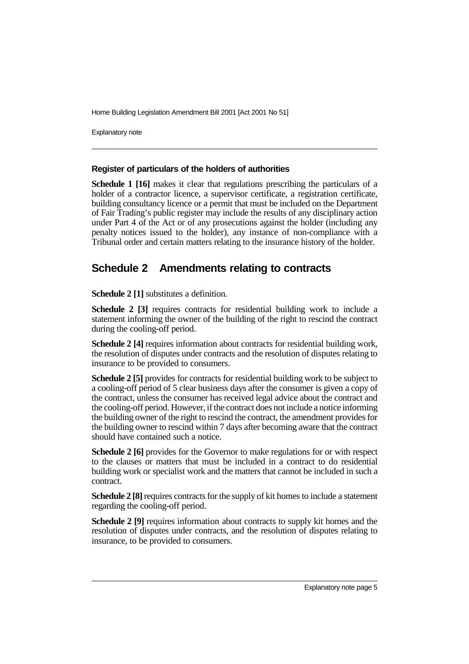Explanatory note

#### **Register of particulars of the holders of authorities**

**Schedule 1 [16]** makes it clear that regulations prescribing the particulars of a holder of a contractor licence, a supervisor certificate, a registration certificate, building consultancy licence or a permit that must be included on the Department of Fair Trading's public register may include the results of any disciplinary action under Part 4 of the Act or of any prosecutions against the holder (including any penalty notices issued to the holder), any instance of non-compliance with a Tribunal order and certain matters relating to the insurance history of the holder.

### **Schedule 2 Amendments relating to contracts**

**Schedule 2 [1]** substitutes a definition.

**Schedule 2 [3]** requires contracts for residential building work to include a statement informing the owner of the building of the right to rescind the contract during the cooling-off period.

**Schedule 2 [4]** requires information about contracts for residential building work, the resolution of disputes under contracts and the resolution of disputes relating to insurance to be provided to consumers.

**Schedule 2 [5]** provides for contracts for residential building work to be subject to a cooling-off period of 5 clear business days after the consumer is given a copy of the contract, unless the consumer has received legal advice about the contract and the cooling-off period. However, if the contract does not include a notice informing the building owner of the right to rescind the contract, the amendment provides for the building owner to rescind within 7 days after becoming aware that the contract should have contained such a notice.

**Schedule 2 [6]** provides for the Governor to make regulations for or with respect to the clauses or matters that must be included in a contract to do residential building work or specialist work and the matters that cannot be included in such a contract.

**Schedule 2 [8]** requires contracts for the supply of kit homes to include a statement regarding the cooling-off period.

**Schedule 2 [9]** requires information about contracts to supply kit homes and the resolution of disputes under contracts, and the resolution of disputes relating to insurance, to be provided to consumers.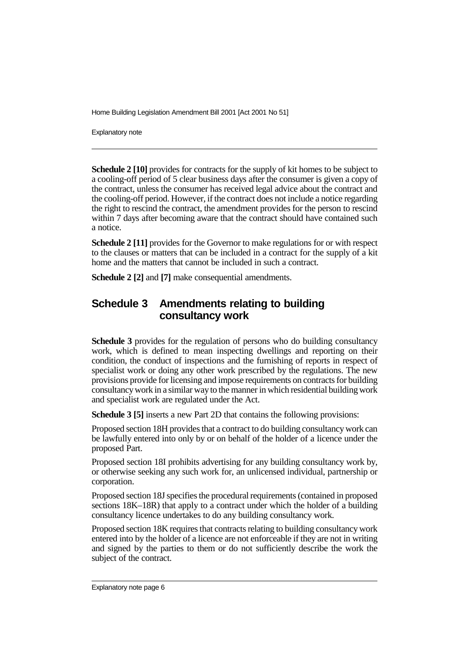Explanatory note

**Schedule 2 [10]** provides for contracts for the supply of kit homes to be subject to a cooling-off period of 5 clear business days after the consumer is given a copy of the contract, unless the consumer has received legal advice about the contract and the cooling-off period. However, if the contract does not include a notice regarding the right to rescind the contract, the amendment provides for the person to rescind within 7 days after becoming aware that the contract should have contained such a notice.

**Schedule 2 [11]** provides for the Governor to make regulations for or with respect to the clauses or matters that can be included in a contract for the supply of a kit home and the matters that cannot be included in such a contract.

**Schedule 2 [2]** and **[7]** make consequential amendments.

### **Schedule 3 Amendments relating to building consultancy work**

**Schedule 3** provides for the regulation of persons who do building consultancy work, which is defined to mean inspecting dwellings and reporting on their condition, the conduct of inspections and the furnishing of reports in respect of specialist work or doing any other work prescribed by the regulations. The new provisions provide for licensing and impose requirements on contracts for building consultancy work in a similar way to the manner in which residential building work and specialist work are regulated under the Act.

**Schedule 3 [5]** inserts a new Part 2D that contains the following provisions:

Proposed section 18H provides that a contract to do building consultancy work can be lawfully entered into only by or on behalf of the holder of a licence under the proposed Part.

Proposed section 18I prohibits advertising for any building consultancy work by, or otherwise seeking any such work for, an unlicensed individual, partnership or corporation.

Proposed section 18J specifies the procedural requirements (contained in proposed sections 18K–18R) that apply to a contract under which the holder of a building consultancy licence undertakes to do any building consultancy work.

Proposed section 18K requires that contracts relating to building consultancy work entered into by the holder of a licence are not enforceable if they are not in writing and signed by the parties to them or do not sufficiently describe the work the subject of the contract.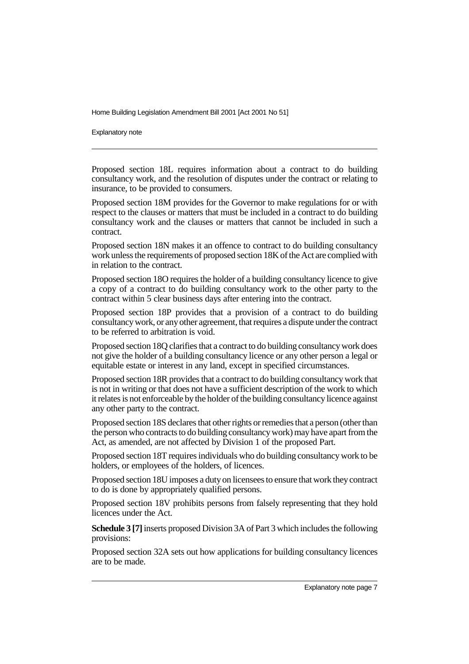Explanatory note

Proposed section 18L requires information about a contract to do building consultancy work, and the resolution of disputes under the contract or relating to insurance, to be provided to consumers.

Proposed section 18M provides for the Governor to make regulations for or with respect to the clauses or matters that must be included in a contract to do building consultancy work and the clauses or matters that cannot be included in such a contract.

Proposed section 18N makes it an offence to contract to do building consultancy work unless the requirements of proposed section 18K of the Act are complied with in relation to the contract.

Proposed section 18O requires the holder of a building consultancy licence to give a copy of a contract to do building consultancy work to the other party to the contract within 5 clear business days after entering into the contract.

Proposed section 18P provides that a provision of a contract to do building consultancy work, or any other agreement, that requires a dispute under the contract to be referred to arbitration is void.

Proposed section 18Q clarifies that a contract to do building consultancy work does not give the holder of a building consultancy licence or any other person a legal or equitable estate or interest in any land, except in specified circumstances.

Proposed section 18R provides that a contract to do building consultancy work that is not in writing or that does not have a sufficient description of the work to which it relates is not enforceable by the holder of the building consultancy licence against any other party to the contract.

Proposed section 18S declares that other rights or remedies that a person (other than the person who contracts to do building consultancy work) may have apart from the Act, as amended, are not affected by Division 1 of the proposed Part.

Proposed section 18T requires individuals who do building consultancy work to be holders, or employees of the holders, of licences.

Proposed section 18U imposes a duty on licensees to ensure that work they contract to do is done by appropriately qualified persons.

Proposed section 18V prohibits persons from falsely representing that they hold licences under the Act.

**Schedule 3 [7]** inserts proposed Division 3A of Part 3 which includes the following provisions:

Proposed section 32A sets out how applications for building consultancy licences are to be made.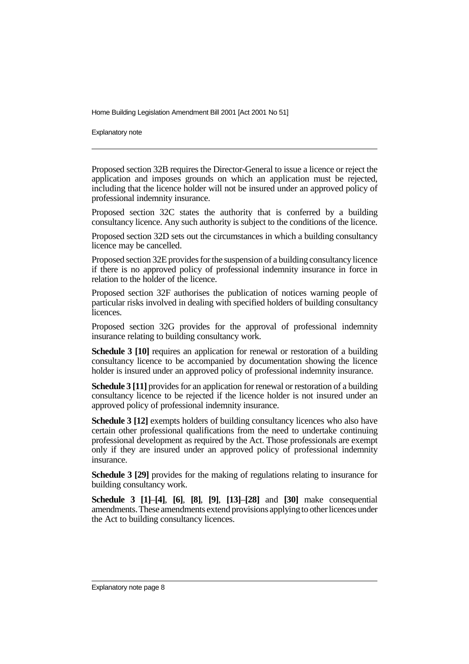Explanatory note

Proposed section 32B requires the Director-General to issue a licence or reject the application and imposes grounds on which an application must be rejected, including that the licence holder will not be insured under an approved policy of professional indemnity insurance.

Proposed section 32C states the authority that is conferred by a building consultancy licence. Any such authority is subject to the conditions of the licence.

Proposed section 32D sets out the circumstances in which a building consultancy licence may be cancelled.

Proposed section 32E provides for the suspension of a building consultancy licence if there is no approved policy of professional indemnity insurance in force in relation to the holder of the licence.

Proposed section 32F authorises the publication of notices warning people of particular risks involved in dealing with specified holders of building consultancy licences.

Proposed section 32G provides for the approval of professional indemnity insurance relating to building consultancy work.

**Schedule 3 [10]** requires an application for renewal or restoration of a building consultancy licence to be accompanied by documentation showing the licence holder is insured under an approved policy of professional indemnity insurance.

**Schedule 3 [11]** provides for an application for renewal or restoration of a building consultancy licence to be rejected if the licence holder is not insured under an approved policy of professional indemnity insurance.

**Schedule 3 [12]** exempts holders of building consultancy licences who also have certain other professional qualifications from the need to undertake continuing professional development as required by the Act. Those professionals are exempt only if they are insured under an approved policy of professional indemnity insurance.

**Schedule 3 [29]** provides for the making of regulations relating to insurance for building consultancy work.

**Schedule 3 [1]**–**[4]**, **[6]**, **[8]**, **[9]**, **[13]**–**[28]** and **[30]** make consequential amendments. These amendments extend provisions applying to other licences under the Act to building consultancy licences.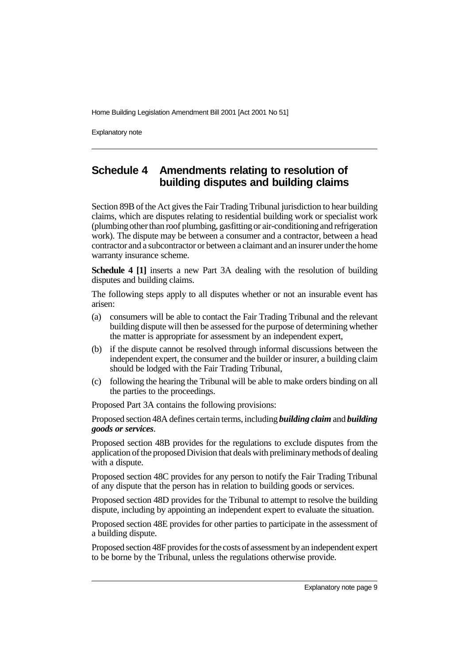Explanatory note

# **Schedule 4 Amendments relating to resolution of building disputes and building claims**

Section 89B of the Act gives the Fair Trading Tribunal jurisdiction to hear building claims, which are disputes relating to residential building work or specialist work (plumbing other than roof plumbing, gasfitting or air-conditioning and refrigeration work). The dispute may be between a consumer and a contractor, between a head contractor and a subcontractor or between a claimant and an insurer under the home warranty insurance scheme.

**Schedule 4 [1]** inserts a new Part 3A dealing with the resolution of building disputes and building claims.

The following steps apply to all disputes whether or not an insurable event has arisen:

- (a) consumers will be able to contact the Fair Trading Tribunal and the relevant building dispute will then be assessed for the purpose of determining whether the matter is appropriate for assessment by an independent expert,
- (b) if the dispute cannot be resolved through informal discussions between the independent expert, the consumer and the builder or insurer, a building claim should be lodged with the Fair Trading Tribunal,
- (c) following the hearing the Tribunal will be able to make orders binding on all the parties to the proceedings.

Proposed Part 3A contains the following provisions:

Proposed section 48A defines certain terms, including *building claim* and *building goods or services*.

Proposed section 48B provides for the regulations to exclude disputes from the application of the proposed Division that deals with preliminary methods of dealing with a dispute.

Proposed section 48C provides for any person to notify the Fair Trading Tribunal of any dispute that the person has in relation to building goods or services.

Proposed section 48D provides for the Tribunal to attempt to resolve the building dispute, including by appointing an independent expert to evaluate the situation.

Proposed section 48E provides for other parties to participate in the assessment of a building dispute.

Proposed section 48F provides for the costs of assessment by an independent expert to be borne by the Tribunal, unless the regulations otherwise provide.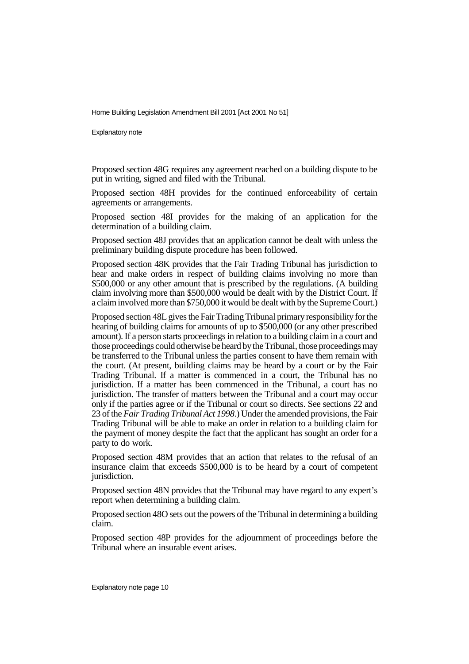Explanatory note

Proposed section 48G requires any agreement reached on a building dispute to be put in writing, signed and filed with the Tribunal.

Proposed section 48H provides for the continued enforceability of certain agreements or arrangements.

Proposed section 48I provides for the making of an application for the determination of a building claim.

Proposed section 48J provides that an application cannot be dealt with unless the preliminary building dispute procedure has been followed.

Proposed section 48K provides that the Fair Trading Tribunal has jurisdiction to hear and make orders in respect of building claims involving no more than \$500,000 or any other amount that is prescribed by the regulations. (A building claim involving more than \$500,000 would be dealt with by the District Court. If a claim involved more than \$750,000 it would be dealt with by the Supreme Court.)

Proposed section 48L gives the Fair Trading Tribunal primary responsibility for the hearing of building claims for amounts of up to \$500,000 (or any other prescribed amount). If a person starts proceedings in relation to a building claim in a court and those proceedings could otherwise be heard by the Tribunal, those proceedings may be transferred to the Tribunal unless the parties consent to have them remain with the court. (At present, building claims may be heard by a court or by the Fair Trading Tribunal. If a matter is commenced in a court, the Tribunal has no jurisdiction. If a matter has been commenced in the Tribunal, a court has no jurisdiction. The transfer of matters between the Tribunal and a court may occur only if the parties agree or if the Tribunal or court so directs. See sections 22 and 23 of the *Fair Trading Tribunal Act 1998*.) Under the amended provisions, the Fair Trading Tribunal will be able to make an order in relation to a building claim for the payment of money despite the fact that the applicant has sought an order for a party to do work.

Proposed section 48M provides that an action that relates to the refusal of an insurance claim that exceeds \$500,000 is to be heard by a court of competent jurisdiction.

Proposed section 48N provides that the Tribunal may have regard to any expert's report when determining a building claim.

Proposed section 48O sets out the powers of the Tribunal in determining a building claim.

Proposed section 48P provides for the adjournment of proceedings before the Tribunal where an insurable event arises.

Explanatory note page 10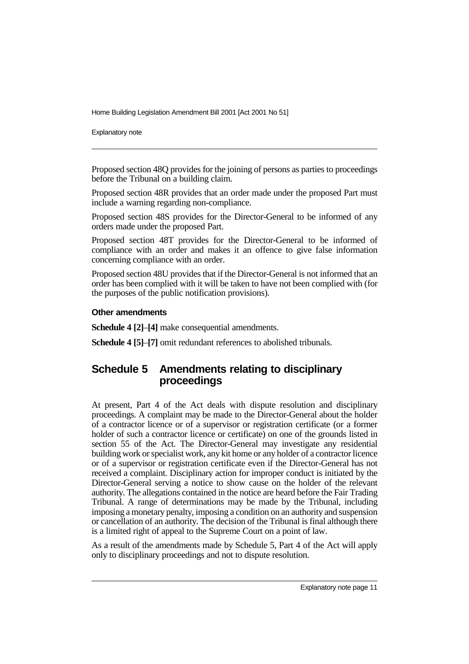Explanatory note

Proposed section 48Q provides for the joining of persons as parties to proceedings before the Tribunal on a building claim.

Proposed section 48R provides that an order made under the proposed Part must include a warning regarding non-compliance.

Proposed section 48S provides for the Director-General to be informed of any orders made under the proposed Part.

Proposed section 48T provides for the Director-General to be informed of compliance with an order and makes it an offence to give false information concerning compliance with an order.

Proposed section 48U provides that if the Director-General is not informed that an order has been complied with it will be taken to have not been complied with (for the purposes of the public notification provisions).

#### **Other amendments**

**Schedule 4 [2]**–**[4]** make consequential amendments.

**Schedule 4 [5]**–**[7]** omit redundant references to abolished tribunals.

# **Schedule 5 Amendments relating to disciplinary proceedings**

At present, Part 4 of the Act deals with dispute resolution and disciplinary proceedings. A complaint may be made to the Director-General about the holder of a contractor licence or of a supervisor or registration certificate (or a former holder of such a contractor licence or certificate) on one of the grounds listed in section 55 of the Act. The Director-General may investigate any residential building work or specialist work, any kit home or any holder of a contractor licence or of a supervisor or registration certificate even if the Director-General has not received a complaint. Disciplinary action for improper conduct is initiated by the Director-General serving a notice to show cause on the holder of the relevant authority. The allegations contained in the notice are heard before the Fair Trading Tribunal. A range of determinations may be made by the Tribunal, including imposing a monetary penalty, imposing a condition on an authority and suspension or cancellation of an authority. The decision of the Tribunal is final although there is a limited right of appeal to the Supreme Court on a point of law.

As a result of the amendments made by Schedule 5, Part 4 of the Act will apply only to disciplinary proceedings and not to dispute resolution.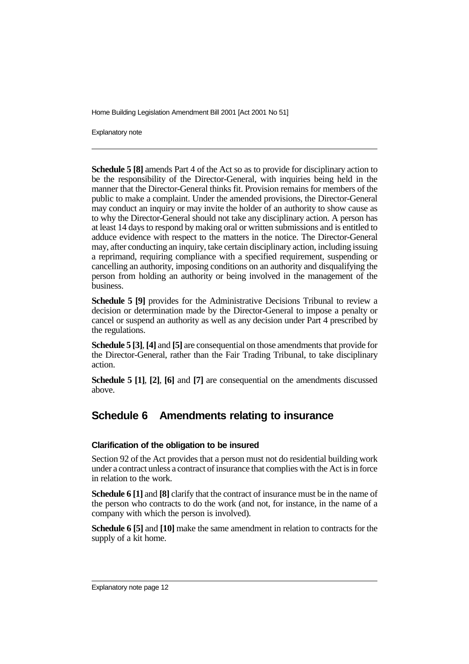Explanatory note

**Schedule 5 [8]** amends Part 4 of the Act so as to provide for disciplinary action to be the responsibility of the Director-General, with inquiries being held in the manner that the Director-General thinks fit. Provision remains for members of the public to make a complaint. Under the amended provisions, the Director-General may conduct an inquiry or may invite the holder of an authority to show cause as to why the Director-General should not take any disciplinary action. A person has at least 14 days to respond by making oral or written submissions and is entitled to adduce evidence with respect to the matters in the notice. The Director-General may, after conducting an inquiry, take certain disciplinary action, including issuing a reprimand, requiring compliance with a specified requirement, suspending or cancelling an authority, imposing conditions on an authority and disqualifying the person from holding an authority or being involved in the management of the business.

**Schedule 5 [9]** provides for the Administrative Decisions Tribunal to review a decision or determination made by the Director-General to impose a penalty or cancel or suspend an authority as well as any decision under Part 4 prescribed by the regulations.

**Schedule 5 [3]**, **[4]** and **[5]** are consequential on those amendments that provide for the Director-General, rather than the Fair Trading Tribunal, to take disciplinary action.

**Schedule 5 [1]**, **[2]**, **[6]** and **[7]** are consequential on the amendments discussed above.

# **Schedule 6 Amendments relating to insurance**

#### **Clarification of the obligation to be insured**

Section 92 of the Act provides that a person must not do residential building work under a contract unless a contract of insurance that complies with the Act is in force in relation to the work.

**Schedule 6 [1]** and **[8]** clarify that the contract of insurance must be in the name of the person who contracts to do the work (and not, for instance, in the name of a company with which the person is involved).

**Schedule 6 [5]** and **[10]** make the same amendment in relation to contracts for the supply of a kit home.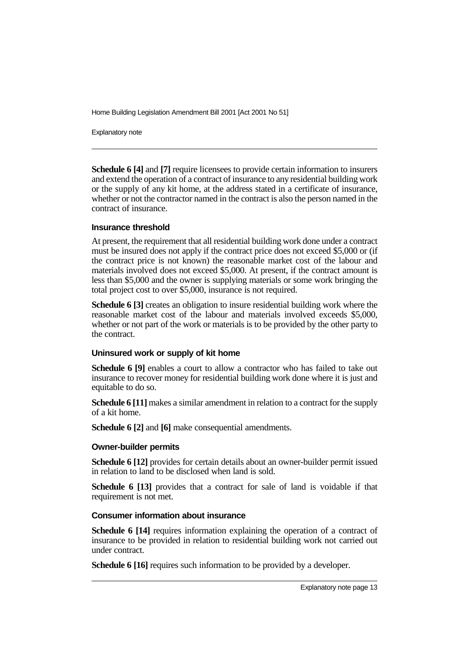Explanatory note

**Schedule 6 [4]** and **[7]** require licensees to provide certain information to insurers and extend the operation of a contract of insurance to any residential building work or the supply of any kit home, at the address stated in a certificate of insurance, whether or not the contractor named in the contract is also the person named in the contract of insurance.

#### **Insurance threshold**

At present, the requirement that all residential building work done under a contract must be insured does not apply if the contract price does not exceed \$5,000 or (if the contract price is not known) the reasonable market cost of the labour and materials involved does not exceed \$5,000. At present, if the contract amount is less than \$5,000 and the owner is supplying materials or some work bringing the total project cost to over \$5,000, insurance is not required.

**Schedule 6 [3]** creates an obligation to insure residential building work where the reasonable market cost of the labour and materials involved exceeds \$5,000, whether or not part of the work or materials is to be provided by the other party to the contract.

#### **Uninsured work or supply of kit home**

**Schedule 6 [9]** enables a court to allow a contractor who has failed to take out insurance to recover money for residential building work done where it is just and equitable to do so.

**Schedule 6 [11]** makes a similar amendment in relation to a contract for the supply of a kit home.

**Schedule 6 [2]** and **[6]** make consequential amendments.

#### **Owner-builder permits**

**Schedule 6 [12]** provides for certain details about an owner-builder permit issued in relation to land to be disclosed when land is sold.

**Schedule 6 [13]** provides that a contract for sale of land is voidable if that requirement is not met.

#### **Consumer information about insurance**

**Schedule 6 [14]** requires information explaining the operation of a contract of insurance to be provided in relation to residential building work not carried out under contract.

**Schedule 6 [16]** requires such information to be provided by a developer.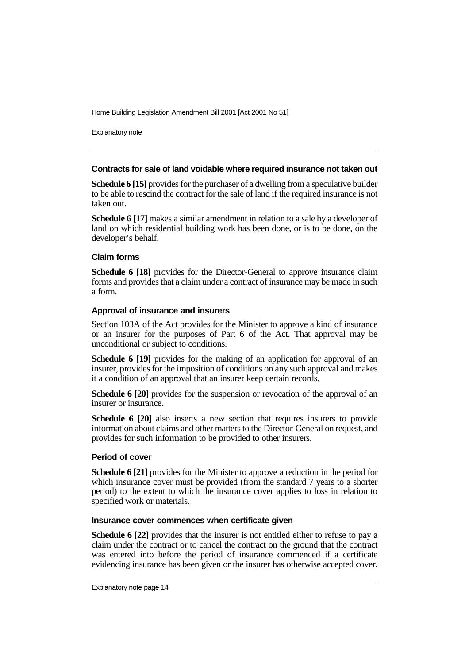Explanatory note

#### **Contracts for sale of land voidable where required insurance not taken out**

**Schedule 6 [15]** provides for the purchaser of a dwelling from a speculative builder to be able to rescind the contract for the sale of land if the required insurance is not taken out.

**Schedule 6 [17]** makes a similar amendment in relation to a sale by a developer of land on which residential building work has been done, or is to be done, on the developer's behalf.

#### **Claim forms**

**Schedule 6 [18]** provides for the Director-General to approve insurance claim forms and provides that a claim under a contract of insurance may be made in such a form.

#### **Approval of insurance and insurers**

Section 103A of the Act provides for the Minister to approve a kind of insurance or an insurer for the purposes of Part 6 of the Act. That approval may be unconditional or subject to conditions.

**Schedule 6 [19]** provides for the making of an application for approval of an insurer, provides for the imposition of conditions on any such approval and makes it a condition of an approval that an insurer keep certain records.

**Schedule 6 [20]** provides for the suspension or revocation of the approval of an insurer or insurance.

**Schedule 6 [20]** also inserts a new section that requires insurers to provide information about claims and other matters to the Director-General on request, and provides for such information to be provided to other insurers.

#### **Period of cover**

**Schedule 6 [21]** provides for the Minister to approve a reduction in the period for which insurance cover must be provided (from the standard 7 years to a shorter period) to the extent to which the insurance cover applies to loss in relation to specified work or materials.

#### **Insurance cover commences when certificate given**

**Schedule 6 [22]** provides that the insurer is not entitled either to refuse to pay a claim under the contract or to cancel the contract on the ground that the contract was entered into before the period of insurance commenced if a certificate evidencing insurance has been given or the insurer has otherwise accepted cover.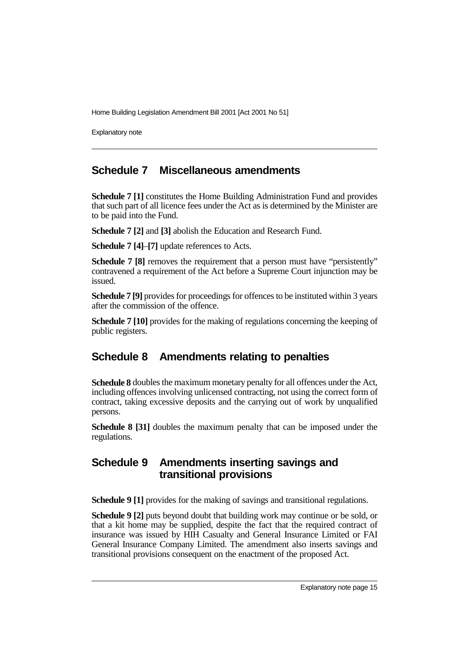Explanatory note

### **Schedule 7 Miscellaneous amendments**

**Schedule 7 [1]** constitutes the Home Building Administration Fund and provides that such part of all licence fees under the Act as is determined by the Minister are to be paid into the Fund.

**Schedule 7 [2]** and **[3]** abolish the Education and Research Fund.

**Schedule 7 [4]**–**[7]** update references to Acts.

**Schedule 7 [8]** removes the requirement that a person must have "persistently" contravened a requirement of the Act before a Supreme Court injunction may be issued.

**Schedule 7 [9]** provides for proceedings for offences to be instituted within 3 years after the commission of the offence.

**Schedule 7 [10]** provides for the making of regulations concerning the keeping of public registers.

# **Schedule 8 Amendments relating to penalties**

**Schedule 8** doubles the maximum monetary penalty for all offences under the Act, including offences involving unlicensed contracting, not using the correct form of contract, taking excessive deposits and the carrying out of work by unqualified persons.

**Schedule 8 [31]** doubles the maximum penalty that can be imposed under the regulations.

### **Schedule 9 Amendments inserting savings and transitional provisions**

**Schedule 9 [1]** provides for the making of savings and transitional regulations.

**Schedule 9 [2]** puts beyond doubt that building work may continue or be sold, or that a kit home may be supplied, despite the fact that the required contract of insurance was issued by HIH Casualty and General Insurance Limited or FAI General Insurance Company Limited. The amendment also inserts savings and transitional provisions consequent on the enactment of the proposed Act.